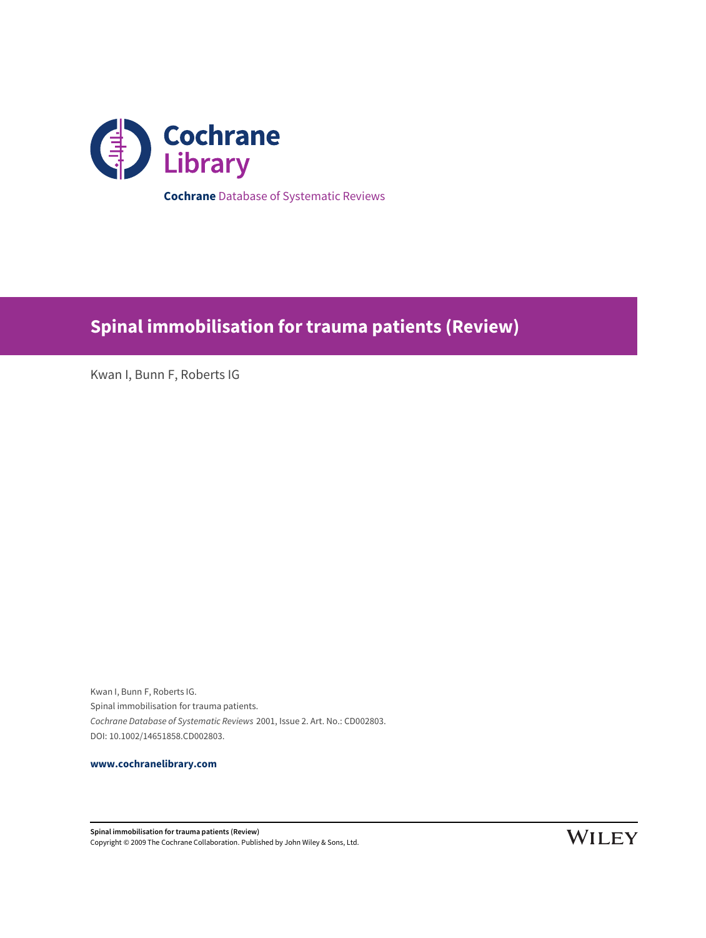

# **Spinal immobilisation for trauma patients (Review)**

Kwan I, Bunn F, Roberts IG

Kwan I, Bunn F, Roberts IG. Spinal immobilisation for trauma patients. Cochrane Database of Systematic Reviews 2001, Issue 2. Art. No.: CD002803. DOI: 10.1002/14651858.CD002803.

**[www.cochranelibrary.com](http://www.cochranelibrary.com)**

**Spinal immobilisation for trauma patients (Review)** Copyright © 2009 The Cochrane Collaboration. Published by John Wiley & Sons, Ltd.

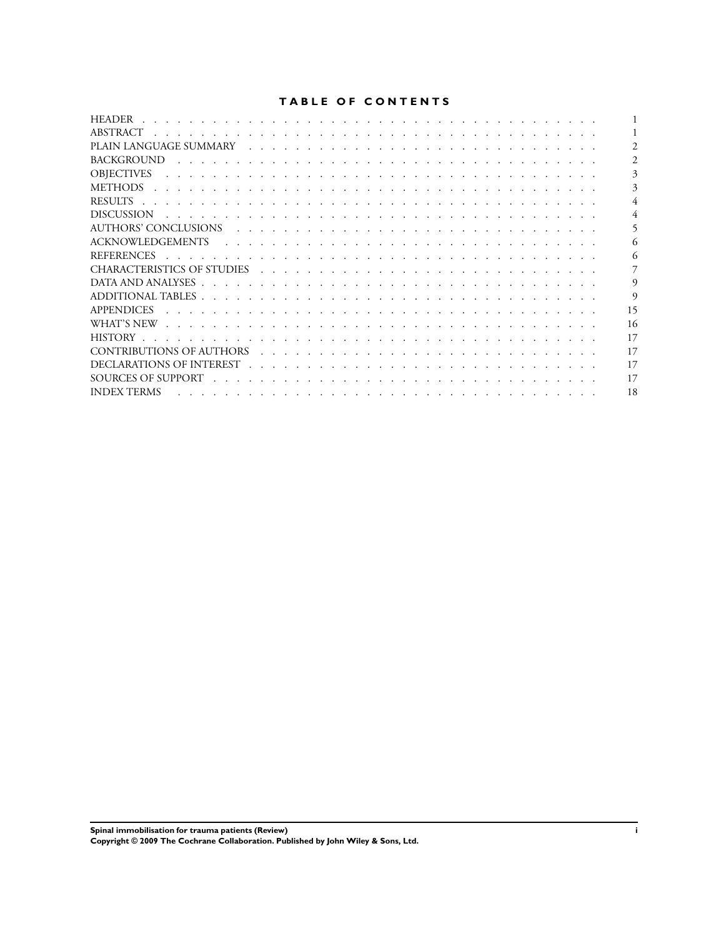# **TABLE OF CONTENTS**

| <b>HEADER</b>                                                                                                                                                                                                                                      |    |
|----------------------------------------------------------------------------------------------------------------------------------------------------------------------------------------------------------------------------------------------------|----|
| ABSTRACT<br>and the contract of the contract of the contract of the contract of the contract of the contract of the contract of the contract of the contract of the contract of the contract of the contract of the contract of the contra         |    |
|                                                                                                                                                                                                                                                    |    |
| <b>BACKGROUND</b>                                                                                                                                                                                                                                  |    |
| <b>OBIECTIVES</b>                                                                                                                                                                                                                                  |    |
| <b>METHODS</b>                                                                                                                                                                                                                                     |    |
| <b>RESULTS</b>                                                                                                                                                                                                                                     |    |
| <b>DISCUSSION</b>                                                                                                                                                                                                                                  |    |
| AUTHORS' CONCLUSIONS                                                                                                                                                                                                                               |    |
| <b>ACKNOWLEDGEMENTS</b>                                                                                                                                                                                                                            |    |
| <b>REFERENCES</b><br>and a constitution of the constitution of the constitution of the constitution of the constitution of the constitution of the constitution of the constitution of the constitution of the constitution of the constitution of |    |
|                                                                                                                                                                                                                                                    |    |
|                                                                                                                                                                                                                                                    | q  |
|                                                                                                                                                                                                                                                    |    |
| <b>APPENDICES</b>                                                                                                                                                                                                                                  | 15 |
| WHAT'S NEW                                                                                                                                                                                                                                         | 16 |
| HISTORY.<br>a constitution of the constitution of the constitution of the constitution of the constitution of the constitution of the constitution of the constitution of the constitution of the constitution of the constitution of the          | 17 |
| CONTRIBUTIONS OF AUTHORS<br>the contract of the contract of the contract of the contract of the contract of the contract of the contract of                                                                                                        | 17 |
|                                                                                                                                                                                                                                                    | 17 |
|                                                                                                                                                                                                                                                    | 17 |
| <b>INDEX TERMS</b>                                                                                                                                                                                                                                 | 18 |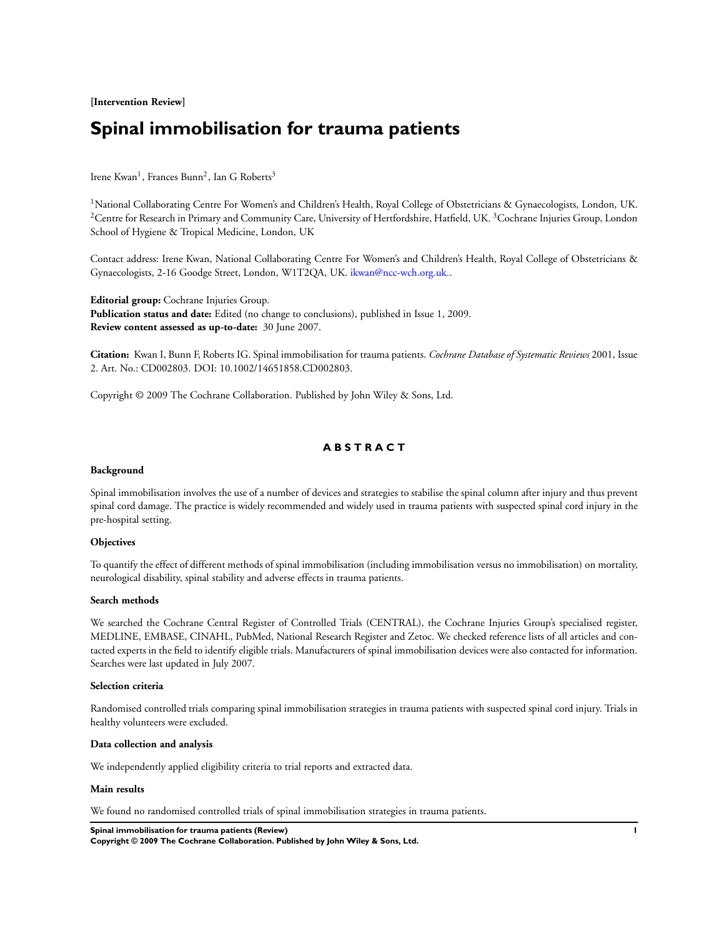**[Intervention Review]**

# **Spinal immobilisation for trauma patients**

# Irene Kwan<sup>1</sup>, Frances Bunn<sup>2</sup>, Ian G Roberts<sup>3</sup>

<sup>1</sup>National Collaborating Centre For Women's and Children's Health, Royal College of Obstetricians & Gynaecologists, London, UK. <sup>2</sup>Centre for Research in Primary and Community Care, University of Hertfordshire, Hatfield, UK.<sup>3</sup>Cochrane Injuries Group, London School of Hygiene & Tropical Medicine, London, UK

Contact address: Irene Kwan, National Collaborating Centre For Women's and Children's Health, Royal College of Obstetricians & Gynaecologists, 2-16 Goodge Street, London, W1T2QA, UK. [ikwan@ncc-wch.org.uk.](mailto:ikwan@ncc-wch.org.uk.).

**Editorial group:** Cochrane Injuries Group. **Publication status and date:** Edited (no change to conclusions), published in Issue 1, 2009. **Review content assessed as up-to-date:** 30 June 2007.

**Citation:** Kwan I, Bunn F, Roberts IG. Spinal immobilisation for trauma patients. *Cochrane Database of Systematic Reviews* 2001, Issue 2. Art. No.: CD002803. DOI: 10.1002/14651858.CD002803.

Copyright © 2009 The Cochrane Collaboration. Published by John Wiley & Sons, Ltd.

# **A B S T R A C T**

#### **Background**

Spinal immobilisation involves the use of a number of devices and strategies to stabilise the spinal column after injury and thus prevent spinal cord damage. The practice is widely recommended and widely used in trauma patients with suspected spinal cord injury in the pre-hospital setting.

## **Objectives**

To quantify the effect of different methods of spinal immobilisation (including immobilisation versus no immobilisation) on mortality, neurological disability, spinal stability and adverse effects in trauma patients.

# **Search methods**

We searched the Cochrane Central Register of Controlled Trials (CENTRAL), the Cochrane Injuries Group's specialised register, MEDLINE, EMBASE, CINAHL, PubMed, National Research Register and Zetoc. We checked reference lists of all articles and contacted experts in the field to identify eligible trials. Manufacturers of spinal immobilisation devices were also contacted for information. Searches were last updated in July 2007.

### **Selection criteria**

Randomised controlled trials comparing spinal immobilisation strategies in trauma patients with suspected spinal cord injury. Trials in healthy volunteers were excluded.

### **Data collection and analysis**

We independently applied eligibility criteria to trial reports and extracted data.

### **Main results**

We found no randomised controlled trials of spinal immobilisation strategies in trauma patients.

**Spinal immobilisation for trauma patients (Review) 1**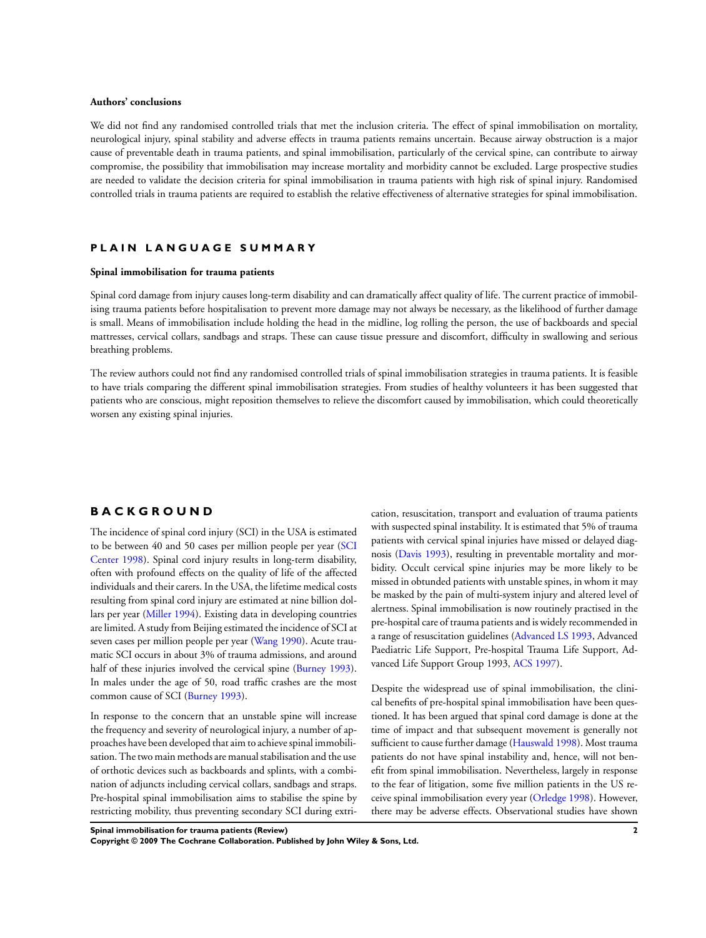#### **Authors' conclusions**

We did not find any randomised controlled trials that met the inclusion criteria. The effect of spinal immobilisation on mortality, neurological injury, spinal stability and adverse effects in trauma patients remains uncertain. Because airway obstruction is a major cause of preventable death in trauma patients, and spinal immobilisation, particularly of the cervical spine, can contribute to airway compromise, the possibility that immobilisation may increase mortality and morbidity cannot be excluded. Large prospective studies are needed to validate the decision criteria for spinal immobilisation in trauma patients with high risk of spinal injury. Randomised controlled trials in trauma patients are required to establish the relative effectiveness of alternative strategies for spinal immobilisation.

### **P L A I N L A N G U A G E S U M M A R Y**

#### **Spinal immobilisation for trauma patients**

Spinal cord damage from injury causes long-term disability and can dramatically affect quality of life. The current practice of immobilising trauma patients before hospitalisation to prevent more damage may not always be necessary, as the likelihood of further damage is small. Means of immobilisation include holding the head in the midline, log rolling the person, the use of backboards and special mattresses, cervical collars, sandbags and straps. These can cause tissue pressure and discomfort, difficulty in swallowing and serious breathing problems.

The review authors could not find any randomised controlled trials of spinal immobilisation strategies in trauma patients. It is feasible to have trials comparing the different spinal immobilisation strategies. From studies of healthy volunteers it has been suggested that patients who are conscious, might reposition themselves to relieve the discomfort caused by immobilisation, which could theoretically worsen any existing spinal injuries.

# **B A C K G R O U N D**

The incidence of spinal cord injury (SCI) in the USA is estimated to be between 40 and 50 cases per million people per year ([SCI](#page-7-0) [Center 1998\)](#page-7-0). Spinal cord injury results in long-term disability, often with profound effects on the quality of life of the affected individuals and their carers. In the USA, the lifetime medical costs resulting from spinal cord injury are estimated at nine billion dollars per year [\(Miller 1994\)](#page-7-0). Existing data in developing countries are limited. A study from Beijing estimated the incidence of SCI at seven cases per million people per year [\(Wang 1990\)](#page-7-0). Acute traumatic SCI occurs in about 3% of trauma admissions, and around half of these injuries involved the cervical spine ([Burney 1993](#page-7-0)). In males under the age of 50, road traffic crashes are the most common cause of SCI [\(Burney 1993\)](#page-7-0).

In response to the concern that an unstable spine will increase the frequency and severity of neurological injury, a number of approaches have been developed that aim to achieve spinal immobilisation. The two main methods are manual stabilisation and the use of orthotic devices such as backboards and splints, with a combination of adjuncts including cervical collars, sandbags and straps. Pre-hospital spinal immobilisation aims to stabilise the spine by restricting mobility, thus preventing secondary SCI during extrication, resuscitation, transport and evaluation of trauma patients with suspected spinal instability. It is estimated that 5% of trauma patients with cervical spinal injuries have missed or delayed diagnosis [\(Davis 1993\)](#page-7-0), resulting in preventable mortality and morbidity. Occult cervical spine injuries may be more likely to be missed in obtunded patients with unstable spines, in whom it may be masked by the pain of multi-system injury and altered level of alertness. Spinal immobilisation is now routinely practised in the pre-hospital care of trauma patients and is widely recommended in a range of resuscitation guidelines [\(Advanced LS 1993,](#page-7-0) Advanced Paediatric Life Support, Pre-hospital Trauma Life Support, Advanced Life Support Group 1993, [ACS 1997\)](#page-7-0).

Despite the widespread use of spinal immobilisation, the clinical benefits of pre-hospital spinal immobilisation have been questioned. It has been argued that spinal cord damage is done at the time of impact and that subsequent movement is generally not sufficient to cause further damage [\(Hauswald 1998\)](#page-7-0). Most trauma patients do not have spinal instability and, hence, will not benefit from spinal immobilisation. Nevertheless, largely in response to the fear of litigation, some five million patients in the US receive spinal immobilisation every year ([Orledge 1998\)](#page-7-0). However, there may be adverse effects. Observational studies have shown

**Spinal immobilisation for trauma patients (Review) 2**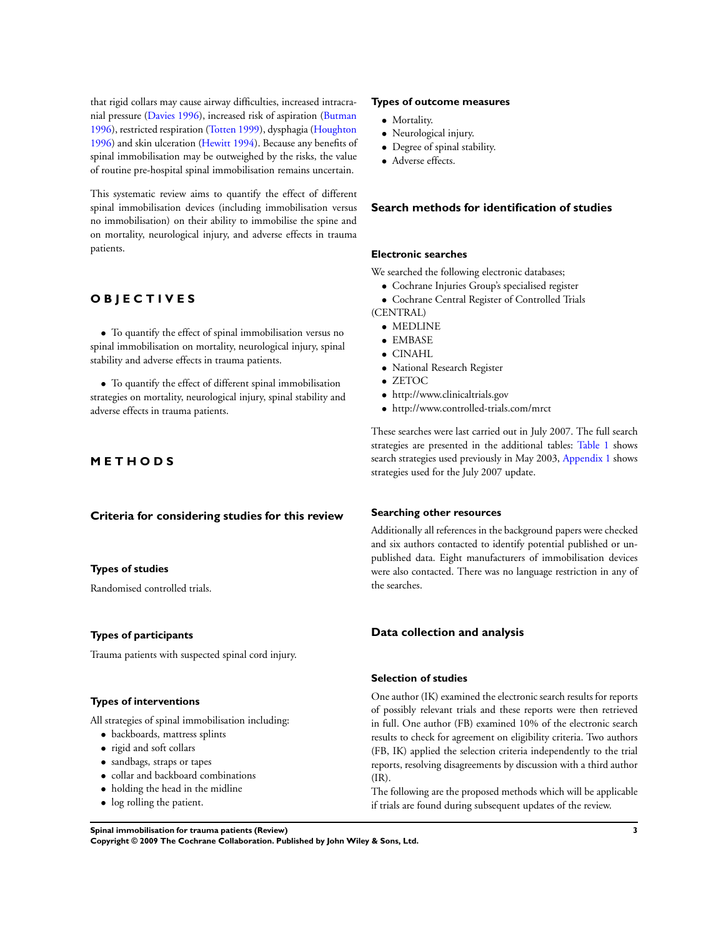that rigid collars may cause airway difficulties, increased intracranial pressure [\(Davies 1996](#page-7-0)), increased risk of aspiration ([Butman](#page-7-0) [1996](#page-7-0)), restricted respiration [\(Totten 1999](#page-7-0)), dysphagia ([Houghton](#page-7-0) [1996](#page-7-0)) and skin ulceration [\(Hewitt 1994\)](#page-7-0). Because any benefits of spinal immobilisation may be outweighed by the risks, the value of routine pre-hospital spinal immobilisation remains uncertain.

This systematic review aims to quantify the effect of different spinal immobilisation devices (including immobilisation versus no immobilisation) on their ability to immobilise the spine and on mortality, neurological injury, and adverse effects in trauma patients.

# **O B J E C T I V E S**

• To quantify the effect of spinal immobilisation versus no spinal immobilisation on mortality, neurological injury, spinal stability and adverse effects in trauma patients.

• To quantify the effect of different spinal immobilisation strategies on mortality, neurological injury, spinal stability and adverse effects in trauma patients.

# **M E T H O D S**

# **Criteria for considering studies for this review**

### **Types of studies**

Randomised controlled trials.

### **Types of participants**

Trauma patients with suspected spinal cord injury.

### **Types of interventions**

All strategies of spinal immobilisation including:

- backboards, mattress splints
- rigid and soft collars
- sandbags, straps or tapes
- collar and backboard combinations
- holding the head in the midline
- log rolling the patient.

#### **Types of outcome measures**

- Mortality.
- Neurological injury.
- Degree of spinal stability.
- Adverse effects.

# **Search methods for identification of studies**

## **Electronic searches**

We searched the following electronic databases;

- Cochrane Injuries Group's specialised register
- Cochrane Central Register of Controlled Trials (CENTRAL)
	- MEDLINE
	- EMBASE
	- CINAHL
	- National Research Register
	- ZETOC
	- http://www.clinicaltrials.gov
	- http://www.controlled-trials.com/mrct

These searches were last carried out in July 2007. The full search strategies are presented in the additional tables: [Table 1](#page-10-0) shows search strategies used previously in May 2003, [Appendix 1](#page-16-0) shows strategies used for the July 2007 update.

### **Searching other resources**

Additionally all references in the background papers were checked and six authors contacted to identify potential published or unpublished data. Eight manufacturers of immobilisation devices were also contacted. There was no language restriction in any of the searches.

## **Data collection and analysis**

## **Selection of studies**

One author (IK) examined the electronic search results for reports of possibly relevant trials and these reports were then retrieved in full. One author (FB) examined 10% of the electronic search results to check for agreement on eligibility criteria. Two authors (FB, IK) applied the selection criteria independently to the trial reports, resolving disagreements by discussion with a third author (IR).

The following are the proposed methods which will be applicable if trials are found during subsequent updates of the review.

**Spinal immobilisation for trauma patients (Review) 3 Copyright © 2009 The Cochrane Collaboration. Published by John Wiley & Sons, Ltd.**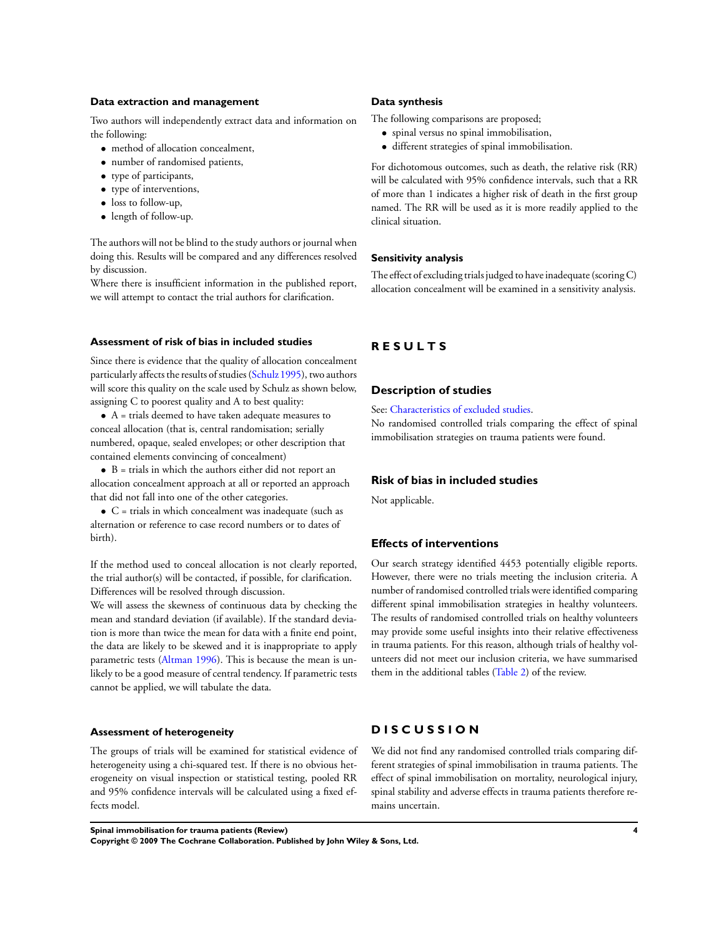#### **Data extraction and management**

Two authors will independently extract data and information on the following:

- method of allocation concealment,
- number of randomised patients,
- type of participants,
- type of interventions,
- loss to follow-up,
- length of follow-up.

The authors will not be blind to the study authors or journal when doing this. Results will be compared and any differences resolved by discussion.

Where there is insufficient information in the published report, we will attempt to contact the trial authors for clarification.

# **Assessment of risk of bias in included studies**

Since there is evidence that the quality of allocation concealment particularly affects the results of studies [\(Schulz 1995](#page-7-0)), two authors will score this quality on the scale used by Schulz as shown below, assigning C to poorest quality and A to best quality:

• A = trials deemed to have taken adequate measures to conceal allocation (that is, central randomisation; serially numbered, opaque, sealed envelopes; or other description that contained elements convincing of concealment)

 $\bullet$  B = trials in which the authors either did not report an allocation concealment approach at all or reported an approach that did not fall into one of the other categories.

 $\bullet$  C = trials in which concealment was inadequate (such as alternation or reference to case record numbers or to dates of birth).

If the method used to conceal allocation is not clearly reported, the trial author(s) will be contacted, if possible, for clarification. Differences will be resolved through discussion.

We will assess the skewness of continuous data by checking the mean and standard deviation (if available). If the standard deviation is more than twice the mean for data with a finite end point, the data are likely to be skewed and it is inappropriate to apply parametric tests [\(Altman 1996](#page-7-0)). This is because the mean is unlikely to be a good measure of central tendency. If parametric tests cannot be applied, we will tabulate the data.

#### **Assessment of heterogeneity**

The groups of trials will be examined for statistical evidence of heterogeneity using a chi-squared test. If there is no obvious heterogeneity on visual inspection or statistical testing, pooled RR and 95% confidence intervals will be calculated using a fixed effects model.

### **Data synthesis**

The following comparisons are proposed;

- spinal versus no spinal immobilisation,
- different strategies of spinal immobilisation.

For dichotomous outcomes, such as death, the relative risk (RR) will be calculated with 95% confidence intervals, such that a RR of more than 1 indicates a higher risk of death in the first group named. The RR will be used as it is more readily applied to the clinical situation.

### **Sensitivity analysis**

The effect of excluding trials judged to have inadequate (scoring C) allocation concealment will be examined in a sensitivity analysis.

# **R E S U L T S**

## **Description of studies**

See: [Characteristics of excluded studies.](#page-9-0)

No randomised controlled trials comparing the effect of spinal immobilisation strategies on trauma patients were found.

## **Risk of bias in included studies**

Not applicable.

## **Effects of interventions**

Our search strategy identified 4453 potentially eligible reports. However, there were no trials meeting the inclusion criteria. A number of randomised controlled trials were identified comparing different spinal immobilisation strategies in healthy volunteers. The results of randomised controlled trials on healthy volunteers may provide some useful insights into their relative effectiveness in trauma patients. For this reason, although trials of healthy volunteers did not meet our inclusion criteria, we have summarised them in the additional tables [\(Table 2\)](#page-11-0) of the review.

# **D I S C U S S I O N**

We did not find any randomised controlled trials comparing different strategies of spinal immobilisation in trauma patients. The effect of spinal immobilisation on mortality, neurological injury, spinal stability and adverse effects in trauma patients therefore remains uncertain.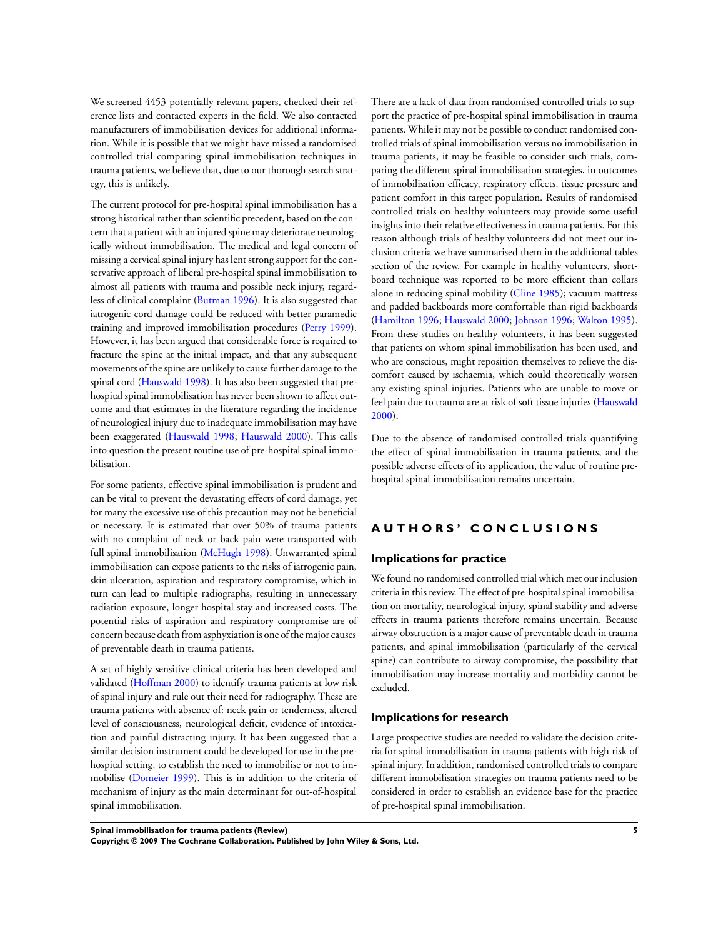We screened 4453 potentially relevant papers, checked their reference lists and contacted experts in the field. We also contacted manufacturers of immobilisation devices for additional information. While it is possible that we might have missed a randomised controlled trial comparing spinal immobilisation techniques in trauma patients, we believe that, due to our thorough search strategy, this is unlikely.

The current protocol for pre-hospital spinal immobilisation has a strong historical rather than scientific precedent, based on the concern that a patient with an injured spine may deteriorate neurologically without immobilisation. The medical and legal concern of missing a cervical spinal injury has lent strong support for the conservative approach of liberal pre-hospital spinal immobilisation to almost all patients with trauma and possible neck injury, regardless of clinical complaint [\(Butman 1996\)](#page-7-0). It is also suggested that iatrogenic cord damage could be reduced with better paramedic training and improved immobilisation procedures [\(Perry 1999](#page-7-0)). However, it has been argued that considerable force is required to fracture the spine at the initial impact, and that any subsequent movements of the spine are unlikely to cause further damage to the spinal cord [\(Hauswald 1998](#page-7-0)). It has also been suggested that prehospital spinal immobilisation has never been shown to affect outcome and that estimates in the literature regarding the incidence of neurological injury due to inadequate immobilisation may have been exaggerated [\(Hauswald 1998](#page-7-0); [Hauswald 2000](#page-7-0)). This calls into question the present routine use of pre-hospital spinal immobilisation.

For some patients, effective spinal immobilisation is prudent and can be vital to prevent the devastating effects of cord damage, yet for many the excessive use of this precaution may not be beneficial or necessary. It is estimated that over 50% of trauma patients with no complaint of neck or back pain were transported with full spinal immobilisation ([McHugh 1998\)](#page-7-0). Unwarranted spinal immobilisation can expose patients to the risks of iatrogenic pain, skin ulceration, aspiration and respiratory compromise, which in turn can lead to multiple radiographs, resulting in unnecessary radiation exposure, longer hospital stay and increased costs. The potential risks of aspiration and respiratory compromise are of concern because death from asphyxiation is one of the major causes of preventable death in trauma patients.

A set of highly sensitive clinical criteria has been developed and validated ([Hoffman 2000](#page-7-0)) to identify trauma patients at low risk of spinal injury and rule out their need for radiography. These are trauma patients with absence of: neck pain or tenderness, altered level of consciousness, neurological deficit, evidence of intoxication and painful distracting injury. It has been suggested that a similar decision instrument could be developed for use in the prehospital setting, to establish the need to immobilise or not to immobilise ([Domeier 1999\)](#page-7-0). This is in addition to the criteria of mechanism of injury as the main determinant for out-of-hospital spinal immobilisation.

There are a lack of data from randomised controlled trials to support the practice of pre-hospital spinal immobilisation in trauma patients. While it may not be possible to conduct randomised controlled trials of spinal immobilisation versus no immobilisation in trauma patients, it may be feasible to consider such trials, comparing the different spinal immobilisation strategies, in outcomes of immobilisation efficacy, respiratory effects, tissue pressure and patient comfort in this target population. Results of randomised controlled trials on healthy volunteers may provide some useful insights into their relative effectiveness in trauma patients. For this reason although trials of healthy volunteers did not meet our inclusion criteria we have summarised them in the additional tables section of the review. For example in healthy volunteers, shortboard technique was reported to be more efficient than collars alone in reducing spinal mobility [\(Cline 1985\)](#page-7-0); vacuum mattress and padded backboards more comfortable than rigid backboards [\(Hamilton 1996;](#page-7-0) [Hauswald 2000;](#page-7-0) [Johnson 1996](#page-7-0); [Walton 1995](#page-7-0)). From these studies on healthy volunteers, it has been suggested that patients on whom spinal immobilisation has been used, and who are conscious, might reposition themselves to relieve the discomfort caused by ischaemia, which could theoretically worsen any existing spinal injuries. Patients who are unable to move or feel pain due to trauma are at risk of soft tissue injuries ([Hauswald](#page-7-0) [2000](#page-7-0)).

Due to the absence of randomised controlled trials quantifying the effect of spinal immobilisation in trauma patients, and the possible adverse effects of its application, the value of routine prehospital spinal immobilisation remains uncertain.

# **A U T H O R S ' C O N C L U S I O N S**

### **Implications for practice**

We found no randomised controlled trial which met our inclusion criteria in this review. The effect of pre-hospital spinal immobilisation on mortality, neurological injury, spinal stability and adverse effects in trauma patients therefore remains uncertain. Because airway obstruction is a major cause of preventable death in trauma patients, and spinal immobilisation (particularly of the cervical spine) can contribute to airway compromise, the possibility that immobilisation may increase mortality and morbidity cannot be excluded.

### **Implications for research**

Large prospective studies are needed to validate the decision criteria for spinal immobilisation in trauma patients with high risk of spinal injury. In addition, randomised controlled trials to compare different immobilisation strategies on trauma patients need to be considered in order to establish an evidence base for the practice of pre-hospital spinal immobilisation.

**Spinal immobilisation for trauma patients (Review) 5 Copyright © 2009 The Cochrane Collaboration. Published by John Wiley & Sons, Ltd.**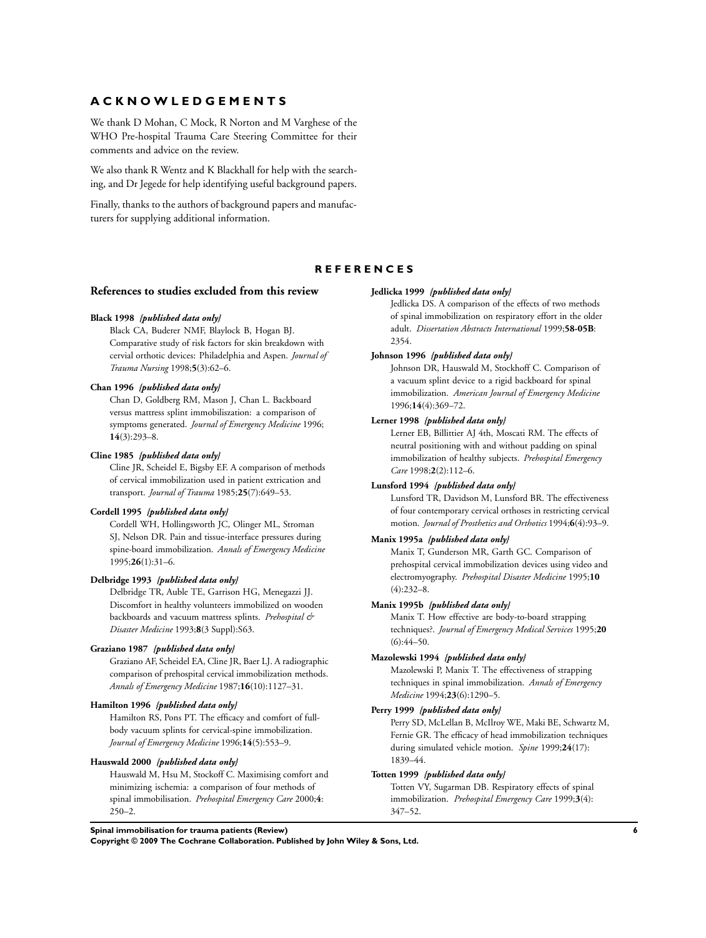# <span id="page-7-0"></span>**A C K N O W L E D G E M E N T S**

We thank D Mohan, C Mock, R Norton and M Varghese of the WHO Pre-hospital Trauma Care Steering Committee for their comments and advice on the review.

We also thank R Wentz and K Blackhall for help with the searching, and Dr Jegede for help identifying useful background papers.

Finally, thanks to the authors of background papers and manufacturers for supplying additional information.

### **R E F E R E N C E S**

### **References to studies excluded from this review**

#### **Black 1998** *{published data only}*

Black CA, Buderer NMF, Blaylock B, Hogan BJ. Comparative study of risk factors for skin breakdown with cervial orthotic devices: Philadelphia and Aspen. *Journal of Trauma Nursing* 1998;**5**(3):62–6.

### **Chan 1996** *{published data only}*

Chan D, Goldberg RM, Mason J, Chan L. Backboard versus mattress splint immobiliszation: a comparison of symptoms generated. *Journal of Emergency Medicine* 1996; **14**(3):293–8.

#### **Cline 1985** *{published data only}*

Cline JR, Scheidel E, Bigsby EF. A comparison of methods of cervical immobilization used in patient extrication and transport. *Journal of Trauma* 1985;**25**(7):649–53.

### **Cordell 1995** *{published data only}*

Cordell WH, Hollingsworth JC, Olinger ML, Stroman SJ, Nelson DR. Pain and tissue-interface pressures during spine-board immobilization. *Annals of Emergency Medicine* 1995;**26**(1):31–6.

#### **Delbridge 1993** *{published data only}*

Delbridge TR, Auble TE, Garrison HG, Menegazzi JJ. Discomfort in healthy volunteers immobilized on wooden backboards and vacuum mattress splints. *Prehospital & Disaster Medicine* 1993;**8**(3 Suppl):S63.

#### **Graziano 1987** *{published data only}*

Graziano AF, Scheidel EA, Cline JR, Baer LJ. A radiographic comparison of prehospital cervical immobilization methods. *Annals of Emergency Medicine* 1987;**16**(10):1127–31.

#### **Hamilton 1996** *{published data only}*

Hamilton RS, Pons PT. The efficacy and comfort of fullbody vacuum splints for cervical-spine immobilization. *Journal of Emergency Medicine* 1996;**14**(5):553–9.

#### **Hauswald 2000** *{published data only}*

Hauswald M, Hsu M, Stockoff C. Maximising comfort and minimizing ischemia: a comparison of four methods of spinal immobilisation. *Prehospital Emergency Care* 2000;**4**: 250–2.

#### **Spinal immobilisation for trauma patients (Review) 6**

**Copyright © 2009 The Cochrane Collaboration. Published by John Wiley & Sons, Ltd.**

#### **Jedlicka 1999** *{published data only}*

Jedlicka DS. A comparison of the effects of two methods of spinal immobilization on respiratory effort in the older adult. *Dissertation Abstracts International* 1999;**58-05B**: 2354.

#### **Johnson 1996** *{published data only}*

Johnson DR, Hauswald M, Stockhoff C. Comparison of a vacuum splint device to a rigid backboard for spinal immobilization. *American Journal of Emergency Medicine* 1996;**14**(4):369–72.

#### **Lerner 1998** *{published data only}*

Lerner EB, Billittier AJ 4th, Moscati RM. The effects of neutral positioning with and without padding on spinal immobilization of healthy subjects. *Prehospital Emergency Care* 1998;**2**(2):112–6.

#### **Lunsford 1994** *{published data only}*

Lunsford TR, Davidson M, Lunsford BR. The effectiveness of four contemporary cervical orthoses in restricting cervical motion. *Journal of Prosthetics and Orthotics* 1994;**6**(4):93–9.

#### **Manix 1995a** *{published data only}*

Manix T, Gunderson MR, Garth GC. Comparison of prehospital cervical immobilization devices using video and electromyography. *Prehospital Disaster Medicine* 1995;**10**  $(4):232-8.$ 

#### **Manix 1995b** *{published data only}*

Manix T. How effective are body-to-board strapping techniques?. *Journal of Emergency Medical Services* 1995;**20**  $(6):44-50.$ 

# **Mazolewski 1994** *{published data only}*

Mazolewski P, Manix T. The effectiveness of strapping techniques in spinal immobilization. *Annals of Emergency Medicine* 1994;**23**(6):1290–5.

### **Perry 1999** *{published data only}*

Perry SD, McLellan B, McIlroy WE, Maki BE, Schwartz M, Fernie GR. The efficacy of head immobilization techniques during simulated vehicle motion. *Spine* 1999;**24**(17): 1839–44.

#### **Totten 1999** *{published data only}*

Totten VY, Sugarman DB. Respiratory effects of spinal immobilization. *Prehospital Emergency Care* 1999;**3**(4): 347–52.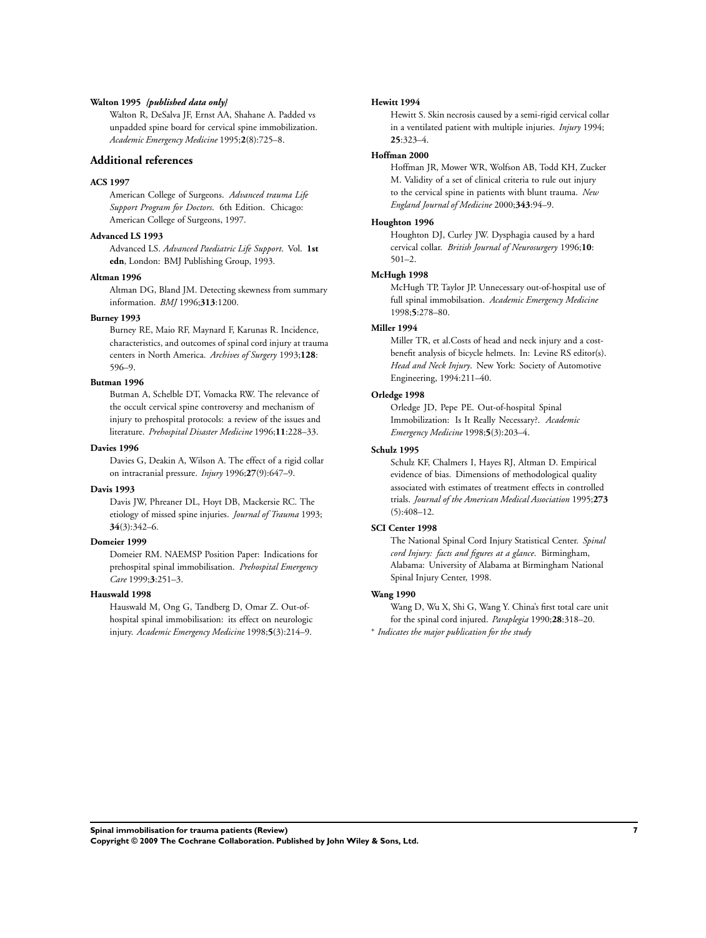### **Walton 1995** *{published data only}*

Walton R, DeSalva JF, Ernst AA, Shahane A. Padded vs unpadded spine board for cervical spine immobilization. *Academic Emergency Medicine* 1995;**2**(8):725–8.

# **Additional references**

### **ACS 1997**

American College of Surgeons. *Advanced trauma Life Support Program for Doctors*. 6th Edition. Chicago: American College of Surgeons, 1997.

#### **Advanced LS 1993**

Advanced LS. *Advanced Paediatric Life Support*. Vol. **1st edn**, London: BMJ Publishing Group, 1993.

#### **Altman 1996**

Altman DG, Bland JM. Detecting skewness from summary information. *BMJ* 1996;**313**:1200.

#### **Burney 1993**

Burney RE, Maio RF, Maynard F, Karunas R. Incidence, characteristics, and outcomes of spinal cord injury at trauma centers in North America. *Archives of Surgery* 1993;**128**: 596–9.

#### **Butman 1996**

Butman A, Schelble DT, Vomacka RW. The relevance of the occult cervical spine controversy and mechanism of injury to prehospital protocols: a review of the issues and literature. *Prehospital Disaster Medicine* 1996;**11**:228–33.

#### **Davies 1996**

Davies G, Deakin A, Wilson A. The effect of a rigid collar on intracranial pressure. *Injury* 1996;**27**(9):647–9.

### **Davis 1993**

Davis JW, Phreaner DL, Hoyt DB, Mackersie RC. The etiology of missed spine injuries. *Journal of Trauma* 1993; **34**(3):342–6.

#### **Domeier 1999**

Domeier RM. NAEMSP Position Paper: Indications for prehospital spinal immobilisation. *Prehospital Emergency Care* 1999;**3**:251–3.

#### **Hauswald 1998**

Hauswald M, Ong G, Tandberg D, Omar Z. Out-ofhospital spinal immobilisation: its effect on neurologic injury. *Academic Emergency Medicine* 1998;**5**(3):214–9.

#### **Hewitt 1994**

Hewitt S. Skin necrosis caused by a semi-rigid cervical collar in a ventilated patient with multiple injuries. *Injury* 1994; **25**:323–4.

#### **Hoffman 2000**

Hoffman JR, Mower WR, Wolfson AB, Todd KH, Zucker M. Validity of a set of clinical criteria to rule out injury to the cervical spine in patients with blunt trauma. *New England Journal of Medicine* 2000;**343**:94–9.

#### **Houghton 1996**

Houghton DJ, Curley JW. Dysphagia caused by a hard cervical collar. *British Journal of Neurosurgery* 1996;**10**: 501–2.

#### **McHugh 1998**

McHugh TP, Taylor JP. Unnecessary out-of-hospital use of full spinal immobilsation. *Academic Emergency Medicine* 1998;**5**:278–80.

#### **Miller 1994**

Miller TR, et al.Costs of head and neck injury and a costbenefit analysis of bicycle helmets. In: Levine RS editor(s). *Head and Neck Injury*. New York: Society of Automotive Engineering, 1994:211–40.

### **Orledge 1998**

Orledge JD, Pepe PE. Out-of-hospital Spinal Immobilization: Is It Really Necessary?. *Academic Emergency Medicine* 1998;**5**(3):203–4.

#### **Schulz 1995**

Schulz KF, Chalmers I, Hayes RJ, Altman D. Empirical evidence of bias. Dimensions of methodological quality associated with estimates of treatment effects in controlled trials. *Journal of the American Medical Association* 1995;**273** (5):408–12.

#### **SCI Center 1998**

The National Spinal Cord Injury Statistical Center. *Spinal cord Injury: facts and figures at a glance*. Birmingham, Alabama: University of Alabama at Birmingham National Spinal Injury Center, 1998.

#### **Wang 1990**

Wang D, Wu X, Shi G, Wang Y. China's first total care unit for the spinal cord injured. *Paraplegia* 1990;**28**:318–20. ∗ *Indicates the major publication for the study*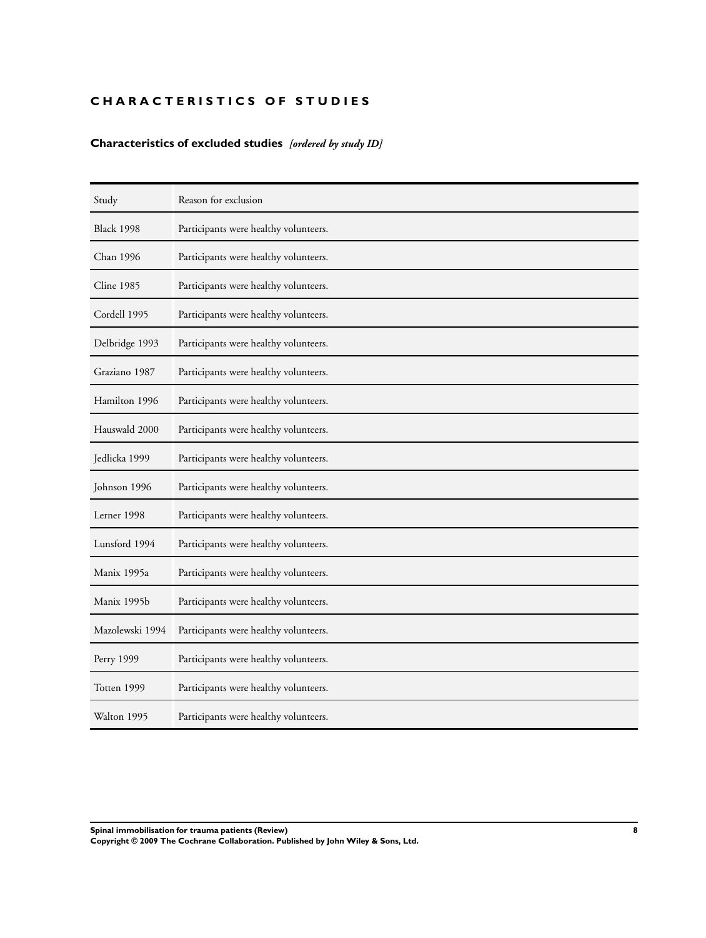# <span id="page-9-0"></span>**CHARACTERISTICS OF STUDIES**

# **Characteristics of excluded studies** *[ordered by study ID]*

| Study             | Reason for exclusion                  |
|-------------------|---------------------------------------|
| <b>Black 1998</b> | Participants were healthy volunteers. |
| Chan 1996         | Participants were healthy volunteers. |
| Cline 1985        | Participants were healthy volunteers. |
| Cordell 1995      | Participants were healthy volunteers. |
| Delbridge 1993    | Participants were healthy volunteers. |
| Graziano 1987     | Participants were healthy volunteers. |
| Hamilton 1996     | Participants were healthy volunteers. |
| Hauswald 2000     | Participants were healthy volunteers. |
| Jedlicka 1999     | Participants were healthy volunteers. |
| Johnson 1996      | Participants were healthy volunteers. |
| Lerner 1998       | Participants were healthy volunteers. |
| Lunsford 1994     | Participants were healthy volunteers. |
| Manix 1995a       | Participants were healthy volunteers. |
| Manix 1995b       | Participants were healthy volunteers. |
| Mazolewski 1994   | Participants were healthy volunteers. |
| Perry 1999        | Participants were healthy volunteers. |
| Totten 1999       | Participants were healthy volunteers. |
| Walton 1995       | Participants were healthy volunteers. |

**Spinal immobilisation for trauma patients (Review) 8**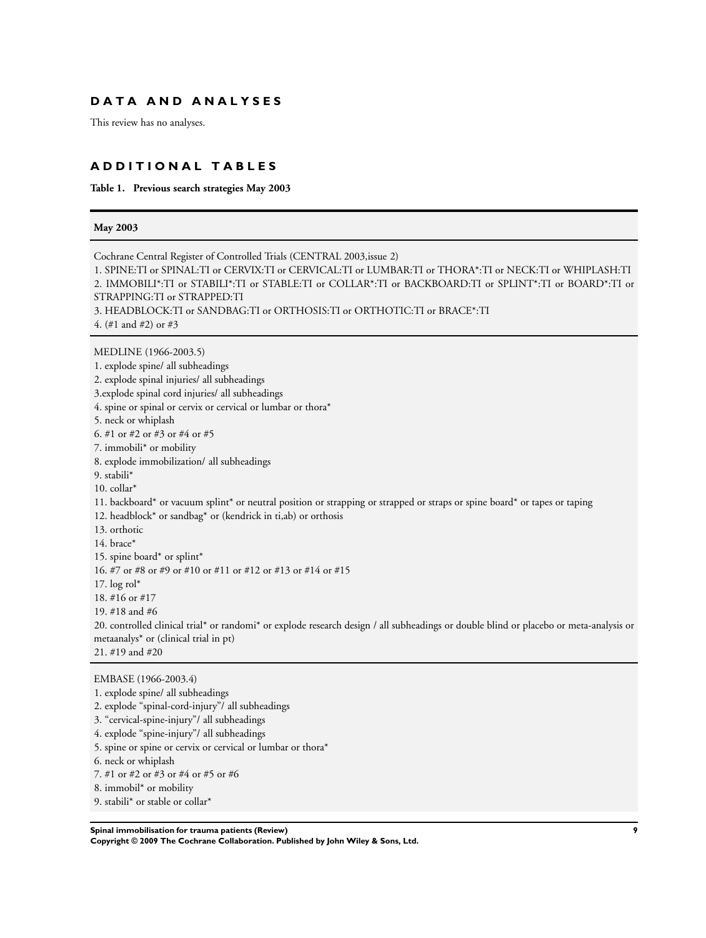# <span id="page-10-0"></span>**D A T A A N D A N A L Y S E S**

This review has no analyses.

# **A D D I T I O N A L T A B L E S**

#### **Table 1. Previous search strategies May 2003**

#### **May 2003**

Cochrane Central Register of Controlled Trials (CENTRAL 2003,issue 2) 1. SPINE:TI or SPINAL:TI or CERVIX:TI or CERVICAL:TI or LUMBAR:TI or THORA\*:TI or NECK:TI or WHIPLASH:TI 2. IMMOBILI\*:TI or STABILI\*:TI or STABLE:TI or COLLAR\*:TI or BACKBOARD:TI or SPLINT\*:TI or BOARD\*:TI or STRAPPING:TI or STRAPPED:TI 3. HEADBLOCK:TI or SANDBAG:TI or ORTHOSIS:TI or ORTHOTIC:TI or BRACE\*:TI 4. (#1 and #2) or #3 MEDLINE (1966-2003.5) 1. explode spine/ all subheadings 2. explode spinal injuries/ all subheadings 3.explode spinal cord injuries/ all subheadings 4. spine or spinal or cervix or cervical or lumbar or thora\* 5. neck or whiplash 6. #1 or #2 or #3 or #4 or #5 7. immobili\* or mobility 8. explode immobilization/ all subheadings 9. stabili\* 10. collar\* 11. backboard\* or vacuum splint\* or neutral position or strapping or strapped or straps or spine board\* or tapes or taping 12. headblock\* or sandbag\* or (kendrick in ti,ab) or orthosis 13. orthotic 14. brace\* 15. spine board\* or splint\* 16. #7 or #8 or #9 or #10 or #11 or #12 or #13 or #14 or #15 17. log rol\* 18. #16 or #17 19. #18 and #6 20. controlled clinical trial\* or randomi\* or explode research design / all subheadings or double blind or placebo or meta-analysis or metaanalys\* or (clinical trial in pt) 21. #19 and #20

## EMBASE (1966-2003.4)

- 1. explode spine/ all subheadings
- 2. explode "spinal-cord-injury"/ all subheadings
- 3. "cervical-spine-injury"/ all subheadings
- 4. explode "spine-injury"/ all subheadings
- 5. spine or spine or cervix or cervical or lumbar or thora\*
- 6. neck or whiplash
- 7. #1 or #2 or #3 or #4 or #5 or #6
- 8. immobil\* or mobility
- 9. stabili\* or stable or collar\*

# **Spinal immobilisation for trauma patients (Review) 9**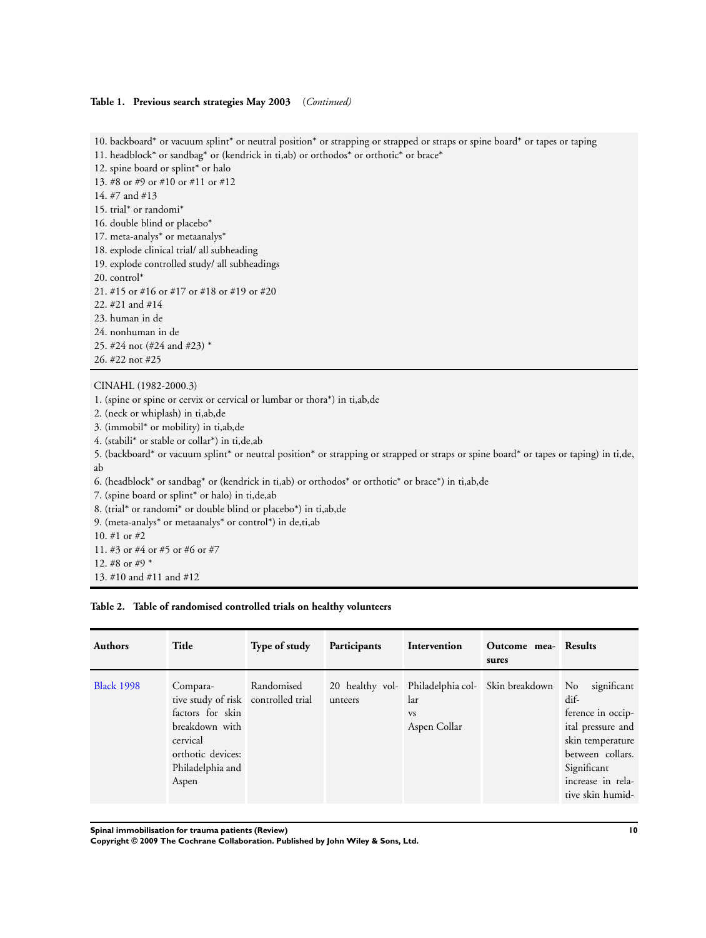#### <span id="page-11-0"></span>**Table 1. Previous search strategies May 2003** (*Continued)*

10. backboard\* or vacuum splint\* or neutral position\* or strapping or strapped or straps or spine board\* or tapes or taping

11. headblock\* or sandbag\* or (kendrick in ti,ab) or orthodos\* or orthotic\* or brace\*

12. spine board or splint\* or halo

13. #8 or #9 or #10 or #11 or #12

14. #7 and #13

15. trial\* or randomi\*

16. double blind or placebo\*

- 17. meta-analys\* or metaanalys\*
- 18. explode clinical trial/ all subheading
- 19. explode controlled study/ all subheadings

20. control\*

- 21. #15 or #16 or #17 or #18 or #19 or #20
- 22. #21 and #14

23. human in de

24. nonhuman in de

25. #24 not (#24 and #23) \*

26. #22 not #25

## CINAHL (1982-2000.3)

1. (spine or spine or cervix or cervical or lumbar or thora\*) in ti,ab,de

2. (neck or whiplash) in ti,ab,de

3. (immobil\* or mobility) in ti,ab,de

4. (stabili\* or stable or collar\*) in ti,de,ab

5. (backboard\* or vacuum splint\* or neutral position\* or strapping or strapped or straps or spine board\* or tapes or taping) in ti,de, ab

6. (headblock\* or sandbag\* or (kendrick in ti,ab) or orthodos\* or orthotic\* or brace\*) in ti,ab,de

7. (spine board or splint\* or halo) in ti,de,ab

8. (trial\* or randomi\* or double blind or placebo\*) in ti,ab,de

9. (meta-analys\* or metaanalys\* or control\*) in de,ti,ab

10. #1 or #2

11. #3 or #4 or #5 or #6 or #7

12. #8 or #9 \*

13. #10 and #11 and #12

## **Table 2. Table of randomised controlled trials on healthy volunteers**

| <b>Authors</b>    | Title                                                                                                                                               | Type of study | Participants | Intervention                                                                         | Outcome mea- Results<br>sures |                                                                                                                                                                                   |
|-------------------|-----------------------------------------------------------------------------------------------------------------------------------------------------|---------------|--------------|--------------------------------------------------------------------------------------|-------------------------------|-----------------------------------------------------------------------------------------------------------------------------------------------------------------------------------|
| <b>Black 1998</b> | Compara-<br>tive study of risk controlled trial<br>factors for skin<br>breakdown with<br>cervical<br>orthotic devices:<br>Philadelphia and<br>Aspen | Randomised    | unteers      | 20 healthy vol- Philadelphia col- Skin breakdown<br>lar<br><b>VS</b><br>Aspen Collar |                               | significant<br>N <sub>o</sub><br>$dif-$<br>ference in occip-<br>ital pressure and<br>skin temperature<br>between collars.<br>Significant<br>increase in rela-<br>tive skin humid- |

**Spinal immobilisation for trauma patients (Review) 10**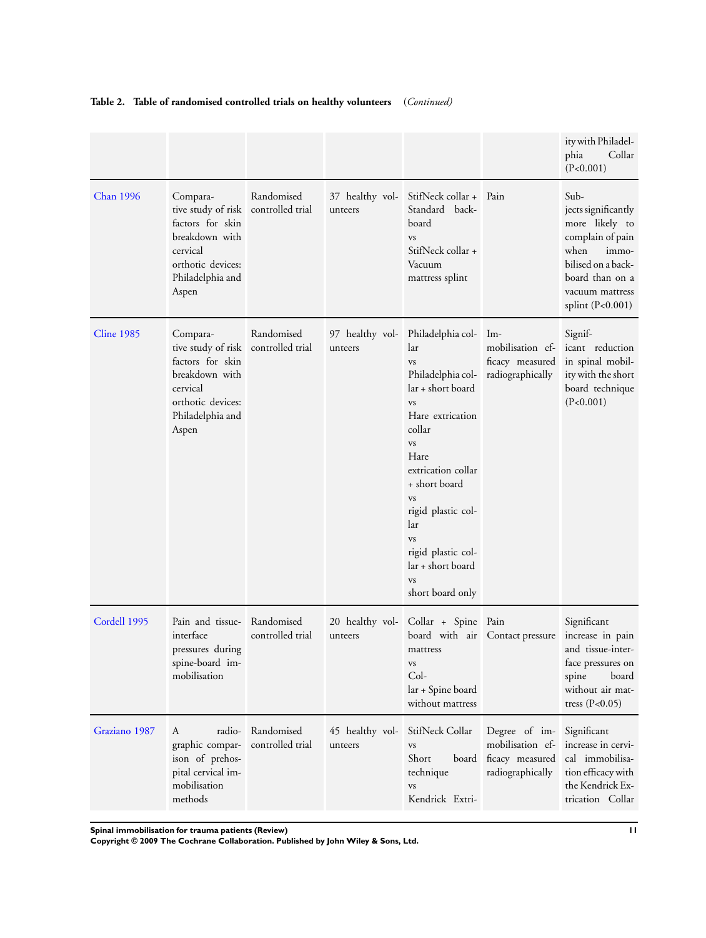|  |  | Table 2. Table of randomised controlled trials on healthy volunteers (Continued) |  |
|--|--|----------------------------------------------------------------------------------|--|
|--|--|----------------------------------------------------------------------------------|--|

|                   |                                                                                                                                    |                                |                            |                                                                                                                                                                                                                                                                                                                                               |                                                                          | ity with Philadel-<br>Collar<br>phia<br>(P<0.001)                                                                                                                    |
|-------------------|------------------------------------------------------------------------------------------------------------------------------------|--------------------------------|----------------------------|-----------------------------------------------------------------------------------------------------------------------------------------------------------------------------------------------------------------------------------------------------------------------------------------------------------------------------------------------|--------------------------------------------------------------------------|----------------------------------------------------------------------------------------------------------------------------------------------------------------------|
| <b>Chan 1996</b>  | Compara-<br>tive study of risk<br>factors for skin<br>breakdown with<br>cervical<br>orthotic devices:<br>Philadelphia and<br>Aspen | Randomised<br>controlled trial | 37 healthy vol-<br>unteers | StifNeck collar + Pain<br>Standard back-<br>board<br><b>VS</b><br>StifNeck collar +<br>Vacuum<br>mattress splint                                                                                                                                                                                                                              |                                                                          | Sub-<br>jects significantly<br>more likely to<br>complain of pain<br>immo-<br>when<br>bilised on a back-<br>board than on a<br>vacuum mattress<br>splint $(P<0.001)$ |
| <b>Cline 1985</b> | Compara-<br>tive study of risk<br>factors for skin<br>breakdown with<br>cervical<br>orthotic devices:<br>Philadelphia and<br>Aspen | Randomised<br>controlled trial | unteers                    | 97 healthy vol- Philadelphia col- Im-<br>lar<br><b>VS</b><br>Philadelphia col-<br>lar + short board<br><b>VS</b><br>Hare extrication<br>collar<br><b>VS</b><br>Hare<br>extrication collar<br>+ short board<br><b>VS</b><br>rigid plastic col-<br>lar<br><b>VS</b><br>rigid plastic col-<br>lar + short board<br><b>VS</b><br>short board only | mobilisation ef-<br>ficacy measured<br>radiographically                  | Signif-<br>icant reduction<br>in spinal mobil-<br>ity with the short<br>board technique<br>(P<0.001)                                                                 |
| Cordell 1995      | Pain and tissue-<br>interface<br>pressures during<br>spine-board im-<br>mobilisation                                               | Randomised<br>controlled trial | unteers                    | 20 healthy vol- Collar + Spine Pain<br>mattress<br>VS<br>Col-<br>lar + Spine board<br>without mattress                                                                                                                                                                                                                                        | board with air Contact pressure                                          | Significant<br>increase in pain<br>and tissue-inter-<br>face pressures on<br>spine<br>board<br>without air mat-<br>tress $(P<0.05)$                                  |
| Graziano 1987     | radio-<br>A<br>graphic compar-<br>ison of prehos-<br>pital cervical im-<br>mobilisation<br>methods                                 | Randomised<br>controlled trial | 45 healthy vol-<br>unteers | StifNeck Collar<br><b>VS</b><br>Short<br>board<br>technique<br><b>VS</b><br>Kendrick Extri-                                                                                                                                                                                                                                                   | Degree of im-<br>mobilisation ef-<br>ficacy measured<br>radiographically | Significant<br>increase in cervi-<br>cal immobilisa-<br>tion efficacy with<br>the Kendrick Ex-<br>trication Collar                                                   |

**Spinal immobilisation for trauma patients (Review) 11**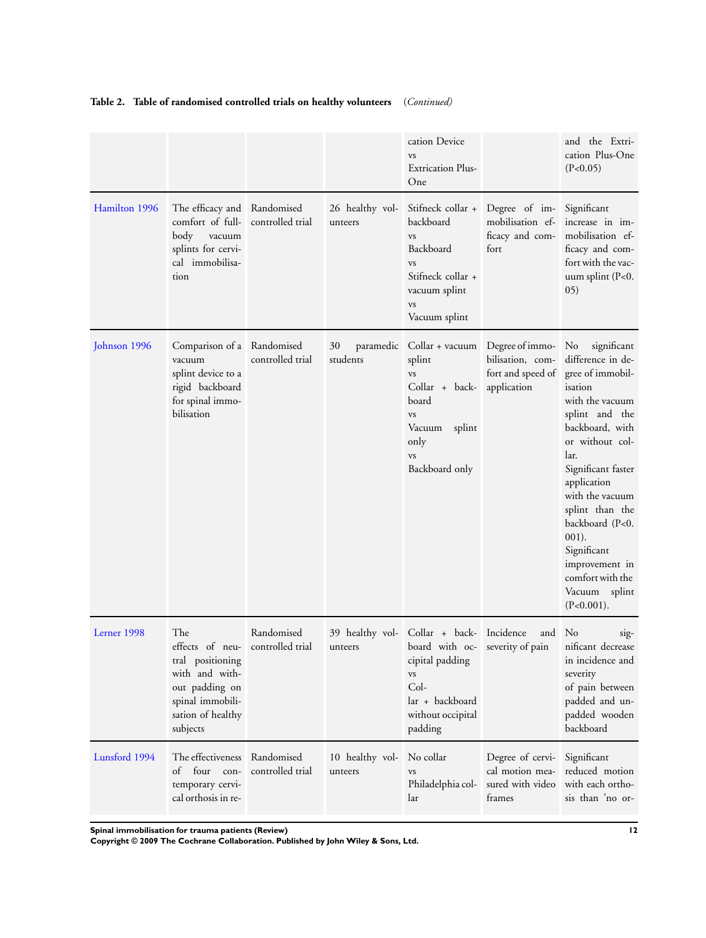|               |                                                                                                                                                      |                                |                            | cation Device<br><b>VS</b><br><b>Extrication Plus-</b><br>One                                                                                                            |                                                                   | and the Extri-<br>cation Plus-One<br>(P<0.05)                                                                                                                                                                                                                                                                                                             |
|---------------|------------------------------------------------------------------------------------------------------------------------------------------------------|--------------------------------|----------------------------|--------------------------------------------------------------------------------------------------------------------------------------------------------------------------|-------------------------------------------------------------------|-----------------------------------------------------------------------------------------------------------------------------------------------------------------------------------------------------------------------------------------------------------------------------------------------------------------------------------------------------------|
| Hamilton 1996 | The efficacy and Randomised<br>comfort of full-<br>body<br>vacuum<br>splints for cervi-<br>cal immobilisa-<br>tion                                   | controlled trial               | 26 healthy vol-<br>unteers | Stifneck collar +<br>backboard<br><b>VS</b><br>Backboard<br><b>VS</b><br>Stifneck collar +<br>vacuum splint<br><b>VS</b><br>Vacuum splint                                | Degree of im-<br>mobilisation ef-<br>ficacy and com-<br>fort      | Significant<br>increase in im-<br>mobilisation ef-<br>ficacy and com-<br>fort with the vac-<br>uum splint $(P<0$ .<br>05)                                                                                                                                                                                                                                 |
| Johnson 1996  | Comparison of a Randomised<br>vacuum<br>splint device to a<br>rigid backboard<br>for spinal immo-<br>bilisation                                      | controlled trial               | 30<br>students             | paramedic Collar + vacuum Degree of immo-<br>splint<br><b>VS</b><br>Collar + back- application<br>board<br><b>VS</b><br>Vacuum<br>splint<br>only<br>VS<br>Backboard only | bilisation, com-<br>fort and speed of                             | No<br>significant<br>difference in de-<br>gree of immobil-<br>isation<br>with the vacuum<br>splint and the<br>backboard, with<br>or without col-<br>lar.<br>Significant faster<br>application<br>with the vacuum<br>splint than the<br>backboard (P<0.<br>$001$ ).<br>Significant<br>improvement in<br>comfort with the<br>Vacuum splint<br>$(P<0.001)$ . |
| Lerner 1998   | The<br>effects of neu- controlled trial<br>tral positioning<br>with and with-<br>out padding on<br>spinal immobili-<br>sation of healthy<br>subjects | Randomised                     | unteers                    | 39 healthy vol- Collar + back- Incidence<br>board with oc- severity of pain<br>cipital padding<br><b>VS</b><br>Col-<br>lar + backboard<br>without occipital<br>padding   | and No                                                            | $sig-$<br>nificant decrease<br>in incidence and<br>severity<br>of pain between<br>padded and un-<br>padded wooden<br>backboard                                                                                                                                                                                                                            |
| Lunsford 1994 | The effectiveness<br>four con-<br>of<br>temporary cervi-<br>cal orthosis in re-                                                                      | Randomised<br>controlled trial | 10 healthy vol-<br>unteers | No collar<br><b>VS</b><br>Philadelphia col-<br>lar                                                                                                                       | Degree of cervi-<br>cal motion mea-<br>sured with video<br>frames | Significant<br>reduced motion<br>with each ortho-<br>sis than 'no or-                                                                                                                                                                                                                                                                                     |

**Spinal immobilisation for trauma patients (Review) 12**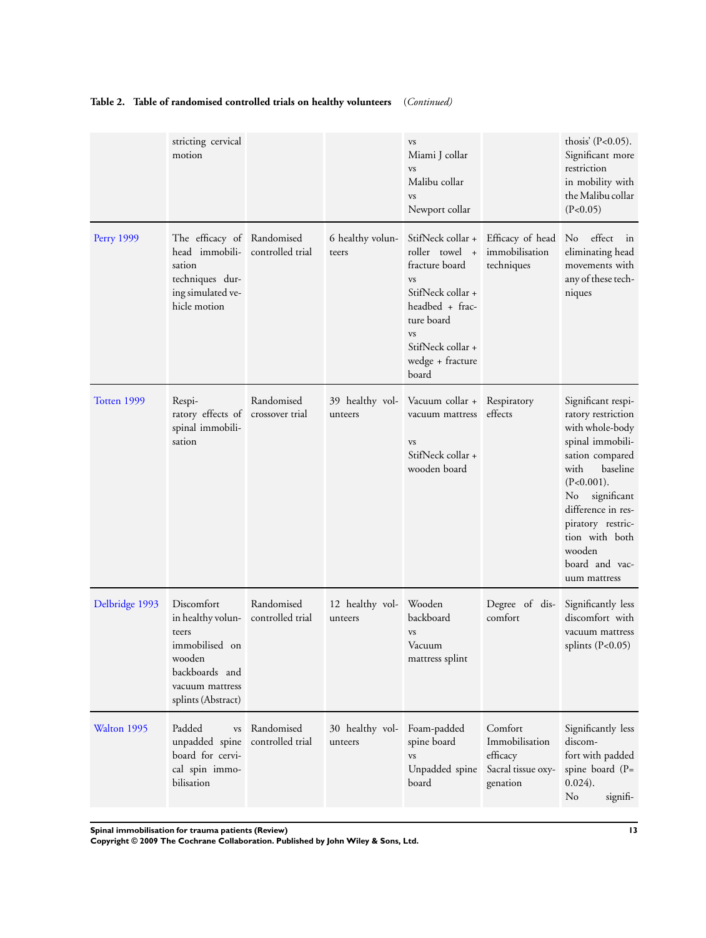|                | stricting cervical<br>motion                                                                                                    |                                |                                        | <b>VS</b><br>Miami J collar<br><b>VS</b><br>Malibu collar<br><b>VS</b><br>Newport collar                                                                                                |                                                                         | thosis' $(P<0.05)$ .<br>Significant more<br>restriction<br>in mobility with<br>the Malibu collar<br>(P<0.05)                                                                                                                                                          |
|----------------|---------------------------------------------------------------------------------------------------------------------------------|--------------------------------|----------------------------------------|-----------------------------------------------------------------------------------------------------------------------------------------------------------------------------------------|-------------------------------------------------------------------------|-----------------------------------------------------------------------------------------------------------------------------------------------------------------------------------------------------------------------------------------------------------------------|
| Perry 1999     | The efficacy of Randomised<br>head immobili-<br>sation<br>techniques dur-<br>ing simulated ve-<br>hicle motion                  | controlled trial               | 6 healthy volun-<br>teers              | StifNeck collar +<br>roller towel +<br>fracture board<br><b>VS</b><br>StifNeck collar +<br>headbed + frac-<br>ture board<br><b>VS</b><br>StifNeck collar +<br>wedge + fracture<br>board | Efficacy of head<br>immobilisation<br>techniques                        | effect<br>N <sub>o</sub><br>in<br>eliminating head<br>movements with<br>any of these tech-<br>niques                                                                                                                                                                  |
| Totten 1999    | Respi-<br>ratory effects of<br>spinal immobili-<br>sation                                                                       | Randomised<br>crossover trial  | unteers                                | 39 healthy vol- Vacuum collar + Respiratory<br>vacuum mattress<br><b>VS</b><br>StifNeck collar +<br>wooden board                                                                        | effects                                                                 | Significant respi-<br>ratory restriction<br>with whole-body<br>spinal immobili-<br>sation compared<br>with<br>baseline<br>$(P<0.001)$ .<br>significant<br>No<br>difference in res-<br>piratory restric-<br>tion with both<br>wooden<br>board and vac-<br>uum mattress |
| Delbridge 1993 | Discomfort<br>in healthy volun-<br>teers<br>immobilised on<br>wooden<br>backboards and<br>vacuum mattress<br>splints (Abstract) | Randomised<br>controlled trial | 12 healthy vol- Wooden<br>unteers      | backboard<br><b>VS</b><br>Vacuum<br>mattress splint                                                                                                                                     | Degree of dis-<br>comfort                                               | Significantly less<br>discomfort with<br>vacuum mattress<br>splints $(P<0.05)$                                                                                                                                                                                        |
| Walton 1995    | Padded<br><b>VS</b><br>unpadded spine<br>board for cervi-<br>cal spin immo-<br>bilisation                                       | Randomised<br>controlled trial | 30 healthy vol- Foam-padded<br>unteers | spine board<br><b>VS</b><br>Unpadded spine<br>board                                                                                                                                     | Comfort<br>Immobilisation<br>efficacy<br>Sacral tissue oxy-<br>genation | Significantly less<br>discom-<br>fort with padded<br>spine board $(P=$<br>$0.024$ ).<br>No<br>signifi-                                                                                                                                                                |

**Spinal immobilisation for trauma patients (Review) 13**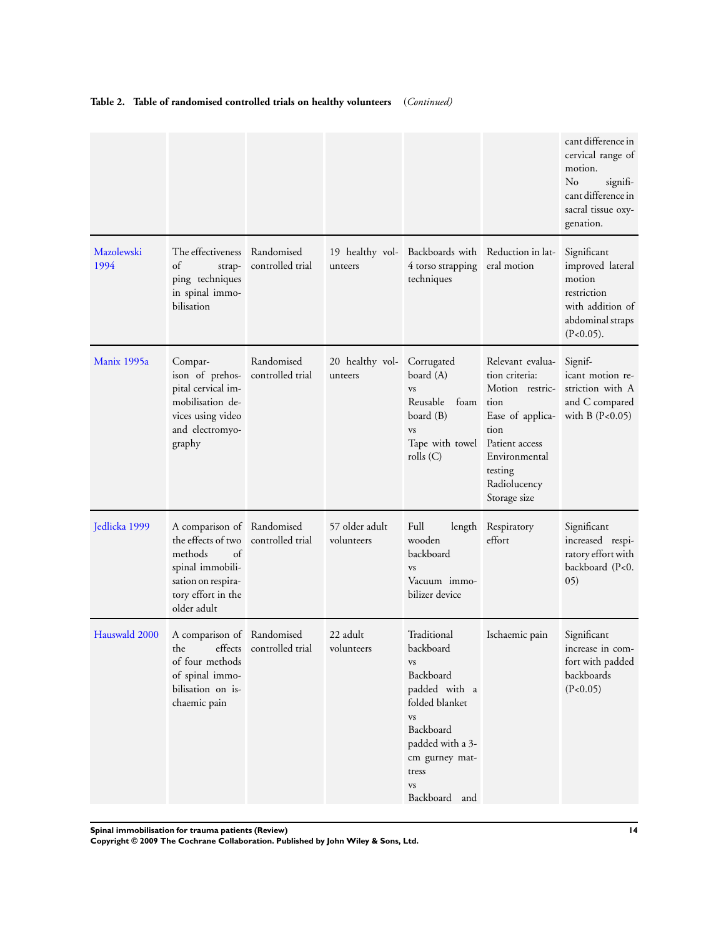|                    |                                                                                                                                                  |                                |                              |                                                                                                                                                                                       |                                                                                                                                                                         | cant difference in<br>cervical range of<br>motion.<br>No<br>signifi-<br>cant difference in<br>sacral tissue oxy-<br>genation. |
|--------------------|--------------------------------------------------------------------------------------------------------------------------------------------------|--------------------------------|------------------------------|---------------------------------------------------------------------------------------------------------------------------------------------------------------------------------------|-------------------------------------------------------------------------------------------------------------------------------------------------------------------------|-------------------------------------------------------------------------------------------------------------------------------|
| Mazolewski<br>1994 | The effectiveness<br>of<br>strap-<br>ping techniques<br>in spinal immo-<br>bilisation                                                            | Randomised<br>controlled trial | 19 healthy vol-<br>unteers   | 4 torso strapping<br>techniques                                                                                                                                                       | Backboards with Reduction in lat-<br>eral motion                                                                                                                        | Significant<br>improved lateral<br>motion<br>restriction<br>with addition of<br>abdominal straps<br>$(P<0.05)$ .              |
| Manix 1995a        | Compar-<br>ison of prehos-<br>pital cervical im-<br>mobilisation de-<br>vices using video<br>and electromyo-<br>graphy                           | Randomised<br>controlled trial | 20 healthy vol-<br>unteers   | Corrugated<br>board (A)<br><b>VS</b><br>Reusable<br>foam<br>board (B)<br><b>VS</b><br>Tape with towel<br>rolls(C)                                                                     | Relevant evalua-<br>tion criteria:<br>Motion restric-<br>tion<br>Ease of applica-<br>tion<br>Patient access<br>Environmental<br>testing<br>Radiolucency<br>Storage size | Signif-<br>icant motion re-<br>striction with A<br>and C compared<br>with $B(P<0.05)$                                         |
| Jedlicka 1999      | A comparison of Randomised<br>the effects of two<br>methods<br>of<br>spinal immobili-<br>sation on respira-<br>tory effort in the<br>older adult | controlled trial               | 57 older adult<br>volunteers | Full<br>wooden<br>backboard<br><b>VS</b><br>Vacuum immo-<br>bilizer device                                                                                                            | length Respiratory<br>effort                                                                                                                                            | Significant<br>increased respi-<br>ratory effort with<br>backboard (P<0.<br>05)                                               |
| Hauswald 2000      | A comparison of Randomised<br>the<br>of four methods<br>of spinal immo-<br>bilisation on is-<br>chaemic pain                                     | effects controlled trial       | 22 adult<br>volunteers       | Traditional<br>backboard<br>VS<br>Backboard<br>padded with a<br>folded blanket<br><b>VS</b><br>Backboard<br>padded with a 3-<br>cm gurney mat-<br>tress<br><b>VS</b><br>Backboard and | Ischaemic pain                                                                                                                                                          | Significant<br>increase in com-<br>fort with padded<br>backboards<br>(P<0.05)                                                 |

**Spinal immobilisation for trauma patients (Review) 14**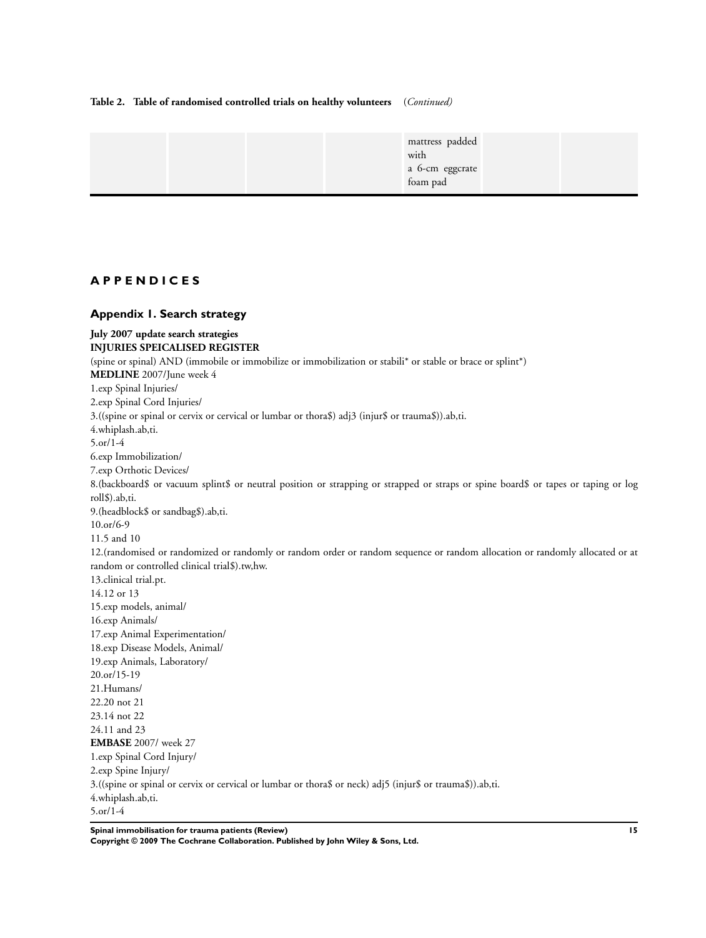<span id="page-16-0"></span>

|  |  | mattress padded<br>with     |  |
|--|--|-----------------------------|--|
|  |  | a 6-cm eggcrate<br>foam pad |  |

# **A P P E N D I C E S**

| Appendix I. Search strategy                                                                                                            |
|----------------------------------------------------------------------------------------------------------------------------------------|
| July 2007 update search strategies<br><b>INJURIES SPEICALISED REGISTER</b>                                                             |
| (spine or spinal) AND (immobile or immobilize or immobilization or stabili* or stable or brace or splint*)<br>MEDLINE 2007/June week 4 |
| 1.exp Spinal Injuries/                                                                                                                 |
| 2.exp Spinal Cord Injuries/                                                                                                            |
| 3.((spine or spinal or cervix or cervical or lumbar or thora\$) adj3 (injur\$ or trauma\$)).ab,ti.                                     |
| 4.whiplash.ab,ti.                                                                                                                      |
| $5.0r/1-4$                                                                                                                             |
| 6.exp Immobilization/                                                                                                                  |
| 7.exp Orthotic Devices/                                                                                                                |
| 8.(backboard\$ or vacuum splint\$ or neutral position or strapping or strapped or straps or spine board\$ or tapes or taping or log    |
| roll\$).ab,ti.                                                                                                                         |
| 9.(headblock\$ or sandbag\$).ab,ti.                                                                                                    |
| $10.0r/6-9$                                                                                                                            |
| 11.5 and 10                                                                                                                            |
| 12. (randomised or randomized or randomly or random order or random sequence or random allocation or randomly allocated or at          |
| random or controlled clinical trial\$).tw,hw.                                                                                          |
| 13.clinical trial.pt.                                                                                                                  |
| 14.12 or 13                                                                                                                            |
| 15.exp models, animal/                                                                                                                 |
| 16.exp Animals/                                                                                                                        |
| 17.exp Animal Experimentation/                                                                                                         |
| 18.exp Disease Models, Animal/                                                                                                         |
| 19.exp Animals, Laboratory/                                                                                                            |
| $20.0r/15-19$                                                                                                                          |
| 21.Humans/                                                                                                                             |
| 22.20 not 21                                                                                                                           |
| 23.14 not 22                                                                                                                           |
| 24.11 and 23                                                                                                                           |
| <b>EMBASE</b> 2007/ week 27                                                                                                            |
| 1.exp Spinal Cord Injury/                                                                                                              |
| 2.exp Spine Injury/                                                                                                                    |
| 3.((spine or spinal or cervix or cervical or lumbar or thora\$ or neck) adj5 (injur\$ or trauma\$)).ab,ti.                             |
| 4.whiplash.ab,ti.                                                                                                                      |
| $5.0r/1-4$                                                                                                                             |

**Spinal immobilisation for trauma patients (Review) 15**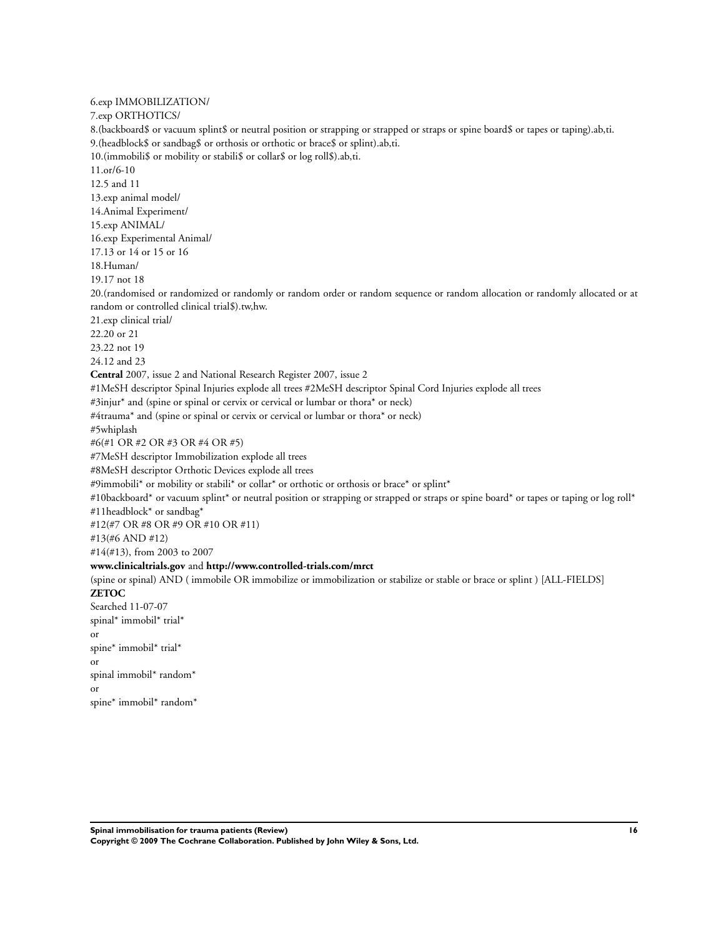6.exp IMMOBILIZATION/ 7.exp ORTHOTICS/ 8.(backboard\$ or vacuum splint\$ or neutral position or strapping or strapped or straps or spine board\$ or tapes or taping).ab,ti. 9.(headblock\$ or sandbag\$ or orthosis or orthotic or brace\$ or splint).ab,ti. 10.(immobili\$ or mobility or stabili\$ or collar\$ or log roll\$).ab,ti. 11.or/6-10 12.5 and 11 13.exp animal model/ 14.Animal Experiment/ 15.exp ANIMAL/ 16.exp Experimental Animal/ 17.13 or 14 or 15 or 16 18.Human/ 19.17 not 18 20.(randomised or randomized or randomly or random order or random sequence or random allocation or randomly allocated or at random or controlled clinical trial\$).tw,hw. 21.exp clinical trial/ 22.20 or 21 23.22 not 19 24.12 and 23 **Central** 2007, issue 2 and National Research Register 2007, issue 2 #1MeSH descriptor Spinal Injuries explode all trees #2MeSH descriptor Spinal Cord Injuries explode all trees #3injur\* and (spine or spinal or cervix or cervical or lumbar or thora\* or neck) #4trauma\* and (spine or spinal or cervix or cervical or lumbar or thora\* or neck) #5whiplash #6(#1 OR #2 OR #3 OR #4 OR #5) #7MeSH descriptor Immobilization explode all trees #8MeSH descriptor Orthotic Devices explode all trees #9immobili\* or mobility or stabili\* or collar\* or orthotic or orthosis or brace\* or splint\* #10backboard\* or vacuum splint\* or neutral position or strapping or strapped or straps or spine board\* or tapes or taping or log roll\* #11headblock\* or sandbag\* #12(#7 OR #8 OR #9 OR #10 OR #11) #13(#6 AND #12) #14(#13), from 2003 to 2007 **www.clinicaltrials.gov** and **http://www.controlled-trials.com/mrct** (spine or spinal) AND ( immobile OR immobilize or immobilization or stabilize or stable or brace or splint ) [ALL-FIELDS] **ZETOC** Searched 11-07-07 spinal\* immobil\* trial\* or spine\* immobil\* trial\* or spinal immobil\* random\* or spine\* immobil\* random\*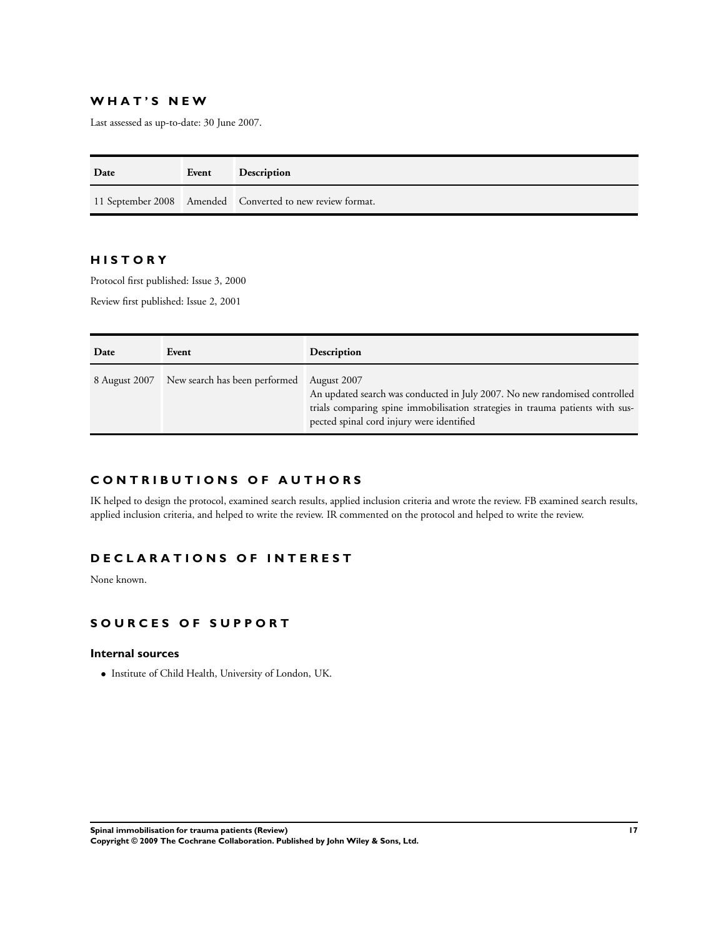# **W H A T ' S N E W**

Last assessed as up-to-date: 30 June 2007.

| Date | Event | <b>Description</b>                                        |  |
|------|-------|-----------------------------------------------------------|--|
|      |       | 11 September 2008 Amended Converted to new review format. |  |

# **H I S T O R Y**

Protocol first published: Issue 3, 2000

Review first published: Issue 2, 2001

| Date          | Event                                     | Description                                                                                                                                                                                              |
|---------------|-------------------------------------------|----------------------------------------------------------------------------------------------------------------------------------------------------------------------------------------------------------|
| 8 August 2007 | New search has been performed August 2007 | An updated search was conducted in July 2007. No new randomised controlled<br>trials comparing spine immobilisation strategies in trauma patients with sus-<br>pected spinal cord injury were identified |

# **C O N T R I B U T I O N S O F A U T H O R S**

IK helped to design the protocol, examined search results, applied inclusion criteria and wrote the review. FB examined search results, applied inclusion criteria, and helped to write the review. IR commented on the protocol and helped to write the review.

# **D E C L A R A T I O N S O F I N T E R E S T**

None known.

# **S O U R C E S O F S U P P O R T**

# **Internal sources**

• Institute of Child Health, University of London, UK.